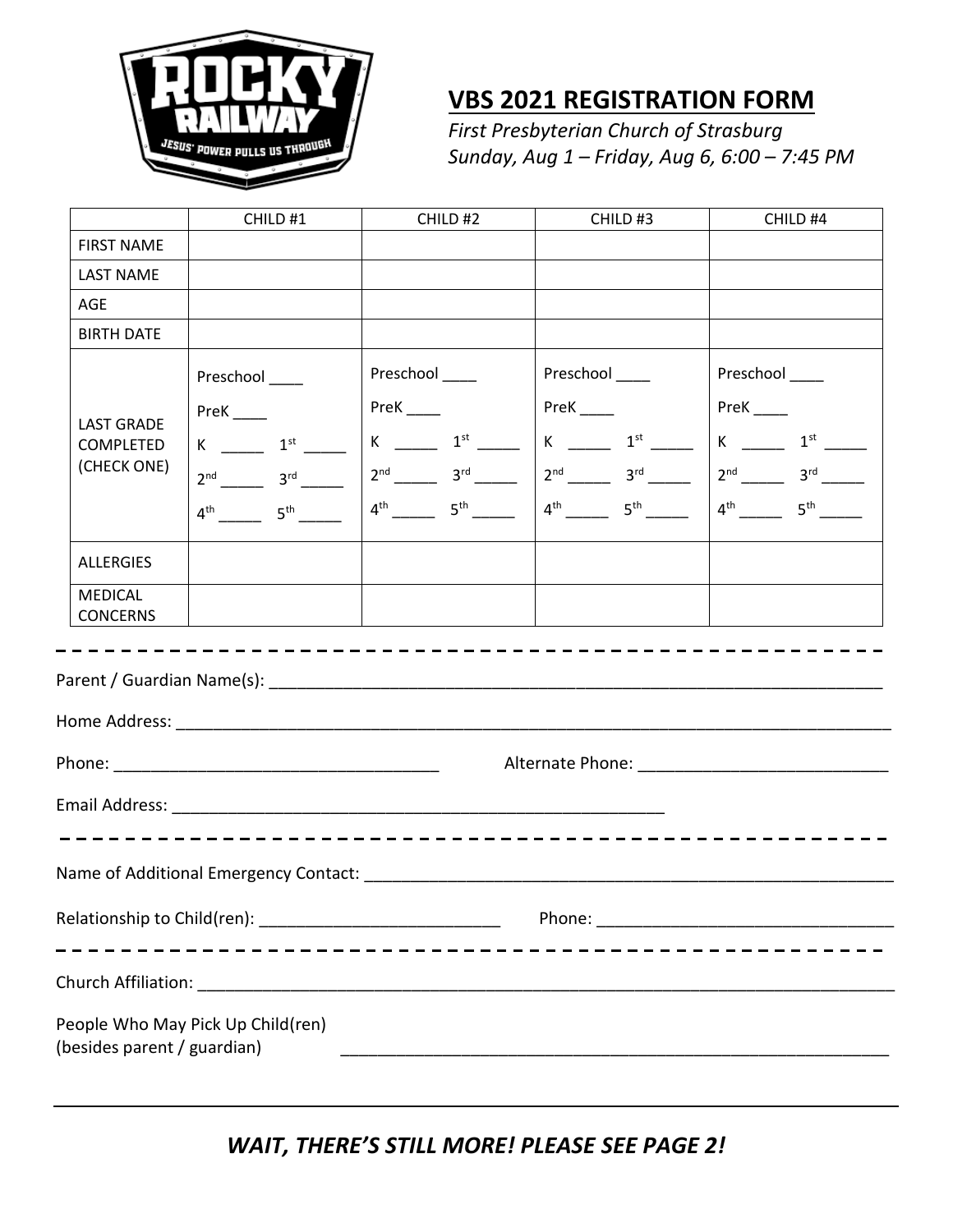

## **VBS 2021 REGISTRATION FORM**

*First Presbyterian Church of Strasburg Sunday, Aug 1 – Friday, Aug 6, 6:00 – 7:45 PM* 

|                                               | CHILD #1                                                                                                                                        | CHILD #2                                                                                                                                 | CHILD #3                                                                                                                                | CHILD #4                                                                                                                                     |  |  |  |
|-----------------------------------------------|-------------------------------------------------------------------------------------------------------------------------------------------------|------------------------------------------------------------------------------------------------------------------------------------------|-----------------------------------------------------------------------------------------------------------------------------------------|----------------------------------------------------------------------------------------------------------------------------------------------|--|--|--|
| <b>FIRST NAME</b>                             |                                                                                                                                                 |                                                                                                                                          |                                                                                                                                         |                                                                                                                                              |  |  |  |
| <b>LAST NAME</b>                              |                                                                                                                                                 |                                                                                                                                          |                                                                                                                                         |                                                                                                                                              |  |  |  |
| <b>AGE</b>                                    |                                                                                                                                                 |                                                                                                                                          |                                                                                                                                         |                                                                                                                                              |  |  |  |
| <b>BIRTH DATE</b>                             |                                                                                                                                                 |                                                                                                                                          |                                                                                                                                         |                                                                                                                                              |  |  |  |
| <b>LAST GRADE</b><br>COMPLETED<br>(CHECK ONE) | Preschool____<br>$PreK$ <sub>____</sub><br>$K \longrightarrow 1^{st}$<br>$2^{nd}$ $3^{rd}$ $3^{rd}$<br>$4^{th}$ 5 <sup>th</sup> 5 <sup>th</sup> | Preschool____<br>$PreK$ <sub>_____</sub><br>$K$ _______ $1^{st}$ ______<br>$2^{nd}$ $3^{rd}$ $3^{rd}$<br>$4^{\text{th}}$ 5 <sup>th</sup> | Preschool ____<br>$PreK$ <sub>____</sub><br>$K \longrightarrow 1^{st}$<br>$2^{nd}$ $3^{rd}$ $3^{rd}$<br>$4^{\text{th}}$ 5 <sup>th</sup> | Preschool ____<br>$PreK$ <sub>____</sub><br>$K$ _________ $1^{st}$ ________<br>$2^{nd}$ $3^{rd}$ $3^{rd}$<br>$4^{\text{th}}$ 5 <sup>th</sup> |  |  |  |
| <b>ALLERGIES</b>                              |                                                                                                                                                 |                                                                                                                                          |                                                                                                                                         |                                                                                                                                              |  |  |  |
| <b>MEDICAL</b><br><b>CONCERNS</b>             |                                                                                                                                                 |                                                                                                                                          |                                                                                                                                         |                                                                                                                                              |  |  |  |
|                                               |                                                                                                                                                 |                                                                                                                                          |                                                                                                                                         |                                                                                                                                              |  |  |  |
|                                               |                                                                                                                                                 |                                                                                                                                          |                                                                                                                                         |                                                                                                                                              |  |  |  |
|                                               |                                                                                                                                                 |                                                                                                                                          |                                                                                                                                         |                                                                                                                                              |  |  |  |
|                                               |                                                                                                                                                 |                                                                                                                                          |                                                                                                                                         |                                                                                                                                              |  |  |  |
|                                               | <u>__________________________</u>                                                                                                               |                                                                                                                                          |                                                                                                                                         |                                                                                                                                              |  |  |  |
|                                               |                                                                                                                                                 |                                                                                                                                          |                                                                                                                                         |                                                                                                                                              |  |  |  |
| (besides parent / guardian)                   | People Who May Pick Up Child(ren)                                                                                                               |                                                                                                                                          |                                                                                                                                         |                                                                                                                                              |  |  |  |

*WAIT, THERE'S STILL MORE! PLEASE SEE PAGE 2!*